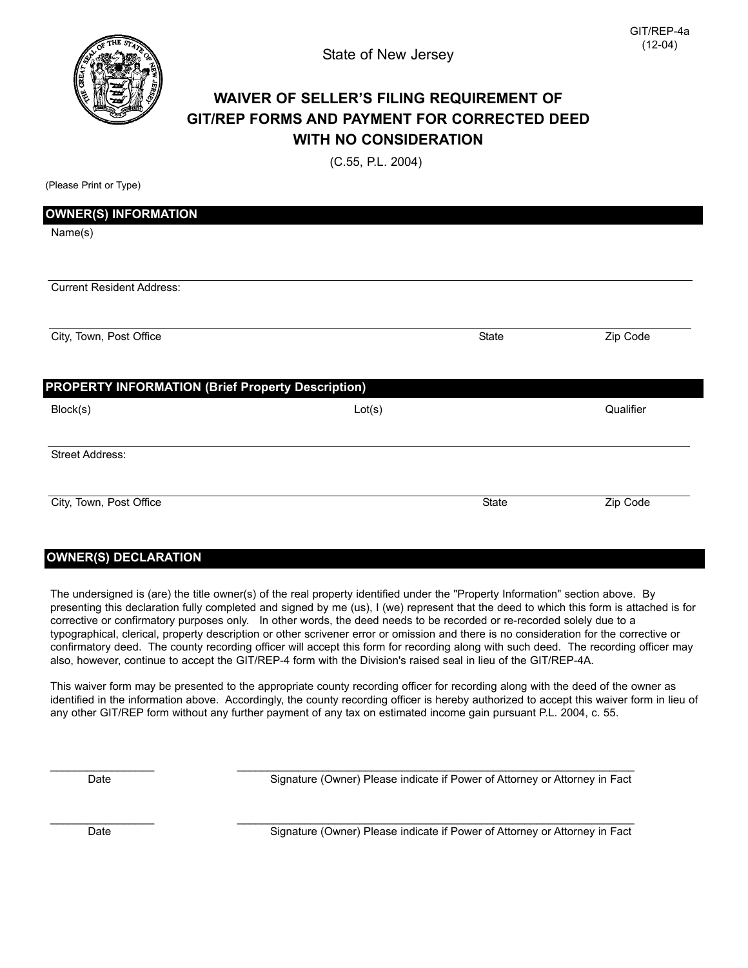

## **WAIVER OF SELLER'S FILING REQUIREMENT OF GIT/REP FORMS AND PAYMENT FOR CORRECTED DEED WITH NO CONSIDERATION**

(C.55, P.L. 2004)

(Please Print or Type)

| <b>OWNER(S) INFORMATION</b>                              |        |       |           |
|----------------------------------------------------------|--------|-------|-----------|
| Name(s)                                                  |        |       |           |
|                                                          |        |       |           |
| <b>Current Resident Address:</b>                         |        |       |           |
| City, Town, Post Office                                  |        | State | Zip Code  |
| <b>PROPERTY INFORMATION (Brief Property Description)</b> |        |       |           |
| Block(s)                                                 | Lot(s) |       | Qualifier |
| Street Address:                                          |        |       |           |
|                                                          |        |       |           |

## **OWNER(S) DECLARATION**

The undersigned is (are) the title owner(s) of the real property identified under the "Property Information" section above. By presenting this declaration fully completed and signed by me (us), I (we) represent that the deed to which this form is attached is for corrective or confirmatory purposes only. In other words, the deed needs to be recorded or re-recorded solely due to a typographical, clerical, property description or other scrivener error or omission and there is no consideration for the corrective or confirmatory deed. The county recording officer will accept this form for recording along with such deed. The recording officer may also, however, continue to accept the GIT/REP-4 form with the Division's raised seal in lieu of the GIT/REP-4A.

This waiver form may be presented to the appropriate county recording officer for recording along with the deed of the owner as identified in the information above. Accordingly, the county recording officer is hereby authorized to accept this waiver form in lieu of any other GIT/REP form without any further payment of any tax on estimated income gain pursuant P.L. 2004, c. 55.

\_\_\_\_\_\_\_\_\_\_\_\_\_\_\_\_\_ \_\_\_\_\_\_\_\_\_\_\_\_\_\_\_\_\_\_\_\_\_\_\_\_\_\_\_\_\_\_\_\_\_\_\_\_\_\_\_\_\_\_\_\_\_\_\_\_\_\_\_\_\_\_\_\_\_\_\_\_\_\_\_\_\_

\_\_\_\_\_\_\_\_\_\_\_\_\_\_\_\_\_ \_\_\_\_\_\_\_\_\_\_\_\_\_\_\_\_\_\_\_\_\_\_\_\_\_\_\_\_\_\_\_\_\_\_\_\_\_\_\_\_\_\_\_\_\_\_\_\_\_\_\_\_\_\_\_\_\_\_\_\_\_\_\_\_\_

Date **Signature (Owner) Please indicate if Power of Attorney or Attorney in Fact** 

Date **Signature (Owner)** Please indicate if Power of Attorney or Attorney in Fact